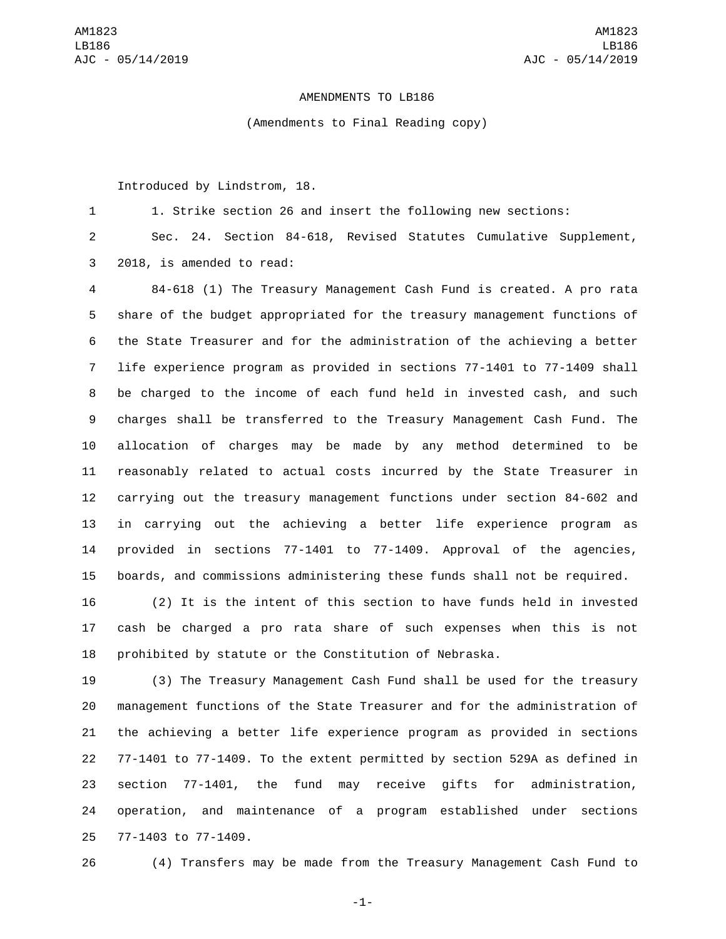## AMENDMENTS TO LB186

(Amendments to Final Reading copy)

Introduced by Lindstrom, 18.

1. Strike section 26 and insert the following new sections:

 Sec. 24. Section 84-618, Revised Statutes Cumulative Supplement, 3 2018, is amended to read:

 84-618 (1) The Treasury Management Cash Fund is created. A pro rata share of the budget appropriated for the treasury management functions of the State Treasurer and for the administration of the achieving a better life experience program as provided in sections 77-1401 to 77-1409 shall be charged to the income of each fund held in invested cash, and such charges shall be transferred to the Treasury Management Cash Fund. The allocation of charges may be made by any method determined to be reasonably related to actual costs incurred by the State Treasurer in carrying out the treasury management functions under section 84-602 and in carrying out the achieving a better life experience program as provided in sections 77-1401 to 77-1409. Approval of the agencies, boards, and commissions administering these funds shall not be required.

 (2) It is the intent of this section to have funds held in invested cash be charged a pro rata share of such expenses when this is not prohibited by statute or the Constitution of Nebraska.

 (3) The Treasury Management Cash Fund shall be used for the treasury management functions of the State Treasurer and for the administration of the achieving a better life experience program as provided in sections 77-1401 to 77-1409. To the extent permitted by section 529A as defined in section 77-1401, the fund may receive gifts for administration, operation, and maintenance of a program established under sections 25 77-1403 to 77-1409.

(4) Transfers may be made from the Treasury Management Cash Fund to

-1-